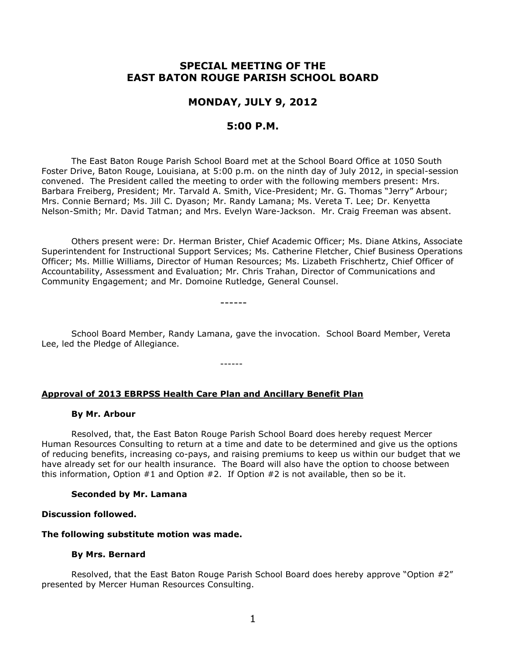# **SPECIAL MEETING OF THE EAST BATON ROUGE PARISH SCHOOL BOARD**

# **MONDAY, JULY 9, 2012**

## **5:00 P.M.**

The East Baton Rouge Parish School Board met at the School Board Office at 1050 South Foster Drive, Baton Rouge, Louisiana, at 5:00 p.m. on the ninth day of July 2012, in special-session convened. The President called the meeting to order with the following members present: Mrs. Barbara Freiberg, President; Mr. Tarvald A. Smith, Vice-President; Mr. G. Thomas "Jerry" Arbour; Mrs. Connie Bernard; Ms. Jill C. Dyason; Mr. Randy Lamana; Ms. Vereta T. Lee; Dr. Kenyetta Nelson-Smith; Mr. David Tatman; and Mrs. Evelyn Ware-Jackson. Mr. Craig Freeman was absent.

Others present were: Dr. Herman Brister, Chief Academic Officer; Ms. Diane Atkins, Associate Superintendent for Instructional Support Services; Ms. Catherine Fletcher, Chief Business Operations Officer; Ms. Millie Williams, Director of Human Resources; Ms. Lizabeth Frischhertz, Chief Officer of Accountability, Assessment and Evaluation; Mr. Chris Trahan, Director of Communications and Community Engagement; and Mr. Domoine Rutledge, General Counsel.

------

School Board Member, Randy Lamana, gave the invocation. School Board Member, Vereta Lee, led the Pledge of Allegiance.

------

#### **Approval of 2013 EBRPSS Health Care Plan and Ancillary Benefit Plan**

#### **By Mr. Arbour**

Resolved, that, the East Baton Rouge Parish School Board does hereby request Mercer Human Resources Consulting to return at a time and date to be determined and give us the options of reducing benefits, increasing co-pays, and raising premiums to keep us within our budget that we have already set for our health insurance. The Board will also have the option to choose between this information, Option  $#1$  and Option  $#2$ . If Option  $#2$  is not available, then so be it.

#### **Seconded by Mr. Lamana**

#### **Discussion followed.**

#### **The following substitute motion was made.**

#### **By Mrs. Bernard**

Resolved, that the East Baton Rouge Parish School Board does hereby approve "Option #2" presented by Mercer Human Resources Consulting.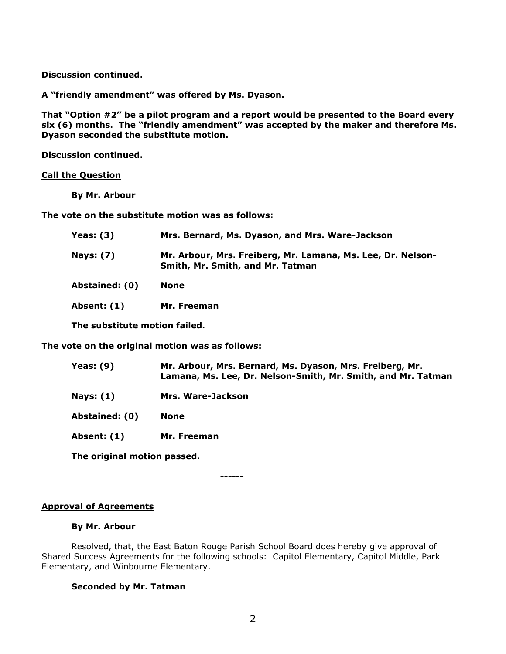**Discussion continued.**

**A "friendly amendment" was offered by Ms. Dyason.**

**That "Option #2" be a pilot program and a report would be presented to the Board every six (6) months. The "friendly amendment" was accepted by the maker and therefore Ms. Dyason seconded the substitute motion.**

**Discussion continued.**

## **Call the Question**

**By Mr. Arbour**

**The vote on the substitute motion was as follows:**

| <b>Yeas: (3)</b>              | Mrs. Bernard, Ms. Dyason, and Mrs. Ware-Jackson                                                 |
|-------------------------------|-------------------------------------------------------------------------------------------------|
| <b>Nays: (7)</b>              | Mr. Arbour, Mrs. Freiberg, Mr. Lamana, Ms. Lee, Dr. Nelson-<br>Smith, Mr. Smith, and Mr. Tatman |
| Abstained: (0)                | <b>None</b>                                                                                     |
| Absent: (1)                   | Mr. Freeman                                                                                     |
| The substitute motion failed. |                                                                                                 |

**The vote on the original motion was as follows:**

| Mr. Arbour, Mrs. Bernard, Ms. Dyason, Mrs. Freiberg, Mr.<br>Lamana, Ms. Lee, Dr. Nelson-Smith, Mr. Smith, and Mr. Tatman |
|--------------------------------------------------------------------------------------------------------------------------|
| Mrs. Ware-Jackson                                                                                                        |
| None                                                                                                                     |
| Mr. Freeman                                                                                                              |
|                                                                                                                          |

**The original motion passed.** 

**------**

#### **Approval of Agreements**

#### **By Mr. Arbour**

Resolved, that, the East Baton Rouge Parish School Board does hereby give approval of Shared Success Agreements for the following schools: Capitol Elementary, Capitol Middle, Park Elementary, and Winbourne Elementary.

## **Seconded by Mr. Tatman**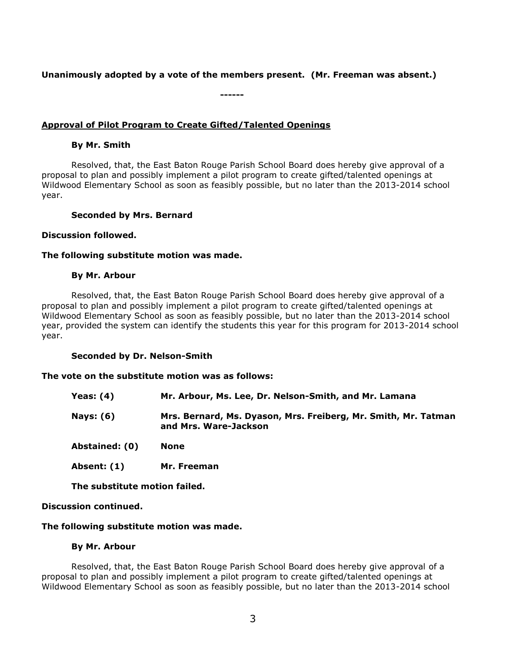## **Unanimously adopted by a vote of the members present. (Mr. Freeman was absent.)**

**------**

**Approval of Pilot Program to Create Gifted/Talented Openings**

#### **By Mr. Smith**

Resolved, that, the East Baton Rouge Parish School Board does hereby give approval of a proposal to plan and possibly implement a pilot program to create gifted/talented openings at Wildwood Elementary School as soon as feasibly possible, but no later than the 2013-2014 school year.

#### **Seconded by Mrs. Bernard**

#### **Discussion followed.**

#### **The following substitute motion was made.**

#### **By Mr. Arbour**

Resolved, that, the East Baton Rouge Parish School Board does hereby give approval of a proposal to plan and possibly implement a pilot program to create gifted/talented openings at Wildwood Elementary School as soon as feasibly possible, but no later than the 2013-2014 school year, provided the system can identify the students this year for this program for 2013-2014 school year.

#### **Seconded by Dr. Nelson-Smith**

#### **The vote on the substitute motion was as follows:**

| Yeas: $(4)$      | Mr. Arbour, Ms. Lee, Dr. Nelson-Smith, and Mr. Lamana                                   |
|------------------|-----------------------------------------------------------------------------------------|
| <b>Nays: (6)</b> | Mrs. Bernard, Ms. Dyason, Mrs. Freiberg, Mr. Smith, Mr. Tatman<br>and Mrs. Ware-Jackson |
| Abstained: (0)   | <b>None</b>                                                                             |

**Absent: (1) Mr. Freeman**

**The substitute motion failed.** 

## **Discussion continued.**

## **The following substitute motion was made.**

#### **By Mr. Arbour**

Resolved, that, the East Baton Rouge Parish School Board does hereby give approval of a proposal to plan and possibly implement a pilot program to create gifted/talented openings at Wildwood Elementary School as soon as feasibly possible, but no later than the 2013-2014 school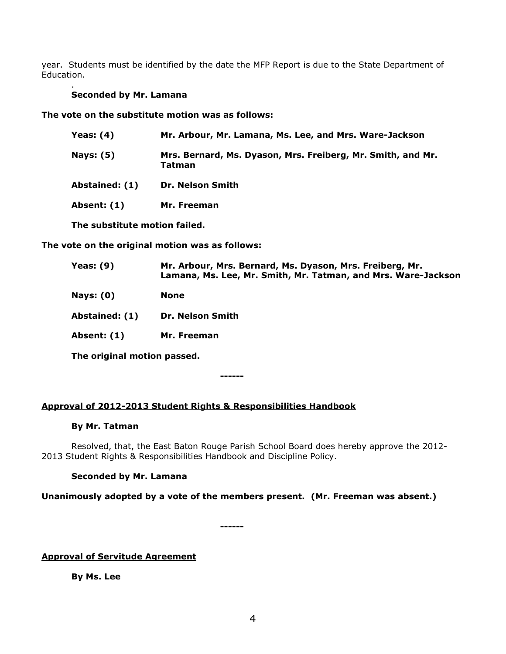year. Students must be identified by the date the MFP Report is due to the State Department of Education.

#### . **Seconded by Mr. Lamana**

**The vote on the substitute motion was as follows:**

| Yeas: (4)                     | Mr. Arbour, Mr. Lamana, Ms. Lee, and Mrs. Ware-Jackson                |
|-------------------------------|-----------------------------------------------------------------------|
| <b>Nays: (5)</b>              | Mrs. Bernard, Ms. Dyason, Mrs. Freiberg, Mr. Smith, and Mr.<br>Tatman |
| Abstained: (1)                | <b>Dr. Nelson Smith</b>                                               |
| Absent: (1)                   | Mr. Freeman                                                           |
| The substitute motion failed. |                                                                       |

**The vote on the original motion was as follows:**

| Yeas: $(9)$                 | Mr. Arbour, Mrs. Bernard, Ms. Dyason, Mrs. Freiberg, Mr.<br>Lamana, Ms. Lee, Mr. Smith, Mr. Tatman, and Mrs. Ware-Jackson |
|-----------------------------|---------------------------------------------------------------------------------------------------------------------------|
| Nays: $(0)$                 | <b>None</b>                                                                                                               |
| Abstained: (1)              | <b>Dr. Nelson Smith</b>                                                                                                   |
| Absent: (1)                 | Mr. Freeman                                                                                                               |
| The original motion passed. |                                                                                                                           |

**------**

## **Approval of 2012-2013 Student Rights & Responsibilities Handbook**

## **By Mr. Tatman**

Resolved, that, the East Baton Rouge Parish School Board does hereby approve the 2012- 2013 Student Rights & Responsibilities Handbook and Discipline Policy.

## **Seconded by Mr. Lamana**

**Unanimously adopted by a vote of the members present. (Mr. Freeman was absent.)**

**------**

## **Approval of Servitude Agreement**

**By Ms. Lee**